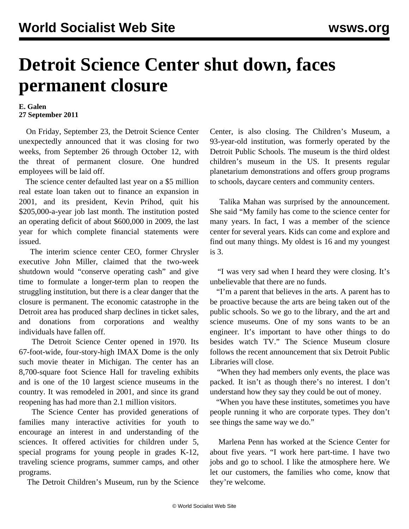## **Detroit Science Center shut down, faces permanent closure**

## **E. Galen 27 September 2011**

 On Friday, September 23, the Detroit Science Center unexpectedly announced that it was closing for two weeks, from September 26 through October 12, with the threat of permanent closure. One hundred employees will be laid off.

 The science center defaulted last year on a \$5 million real estate loan taken out to finance an expansion in 2001, and its president, Kevin Prihod, quit his \$205,000-a-year job last month. The institution posted an operating deficit of about \$600,000 in 2009, the last year for which complete financial statements were issued.

 The interim science center CEO, former Chrysler executive John Miller, claimed that the two-week shutdown would "conserve operating cash" and give time to formulate a longer-term plan to reopen the struggling institution, but there is a clear danger that the closure is permanent. The economic catastrophe in the Detroit area has produced sharp declines in ticket sales, and donations from corporations and wealthy individuals have fallen off.

 The Detroit Science Center opened in 1970. Its 67-foot-wide, four-story-high IMAX Dome is the only such movie theater in Michigan. The center has an 8,700-square foot Science Hall for traveling exhibits and is one of the 10 largest science museums in the country. It was remodeled in 2001, and since its grand reopening has had more than 2.1 million visitors.

 The Science Center has provided generations of families many interactive activities for youth to encourage an interest in and understanding of the sciences. It offered activities for children under 5, special programs for young people in grades K-12, traveling science programs, summer camps, and other programs.

The Detroit Children's Museum, run by the Science

Center, is also closing. The Children's Museum, a 93-year-old institution, was formerly operated by the Detroit Public Schools. The museum is the third oldest children's museum in the US. It presents regular planetarium demonstrations and offers group programs to schools, daycare centers and community centers.

 Talika Mahan was surprised by the announcement. She said "My family has come to the science center for many years. In fact, I was a member of the science center for several years. Kids can come and explore and find out many things. My oldest is 16 and my youngest is 3.

 "I was very sad when I heard they were closing. It's unbelievable that there are no funds.

 "I'm a parent that believes in the arts. A parent has to be proactive because the arts are being taken out of the public schools. So we go to the library, and the art and science museums. One of my sons wants to be an engineer. It's important to have other things to do besides watch TV." The Science Museum closure follows the recent announcement that six Detroit Public Libraries will close.

 "When they had members only events, the place was packed. It isn't as though there's no interest. I don't understand how they say they could be out of money.

 "When you have these institutes, sometimes you have people running it who are corporate types. They don't see things the same way we do."

 Marlena Penn has worked at the Science Center for about five years. "I work here part-time. I have two jobs and go to school. I like the atmosphere here. We let our customers, the families who come, know that they're welcome.